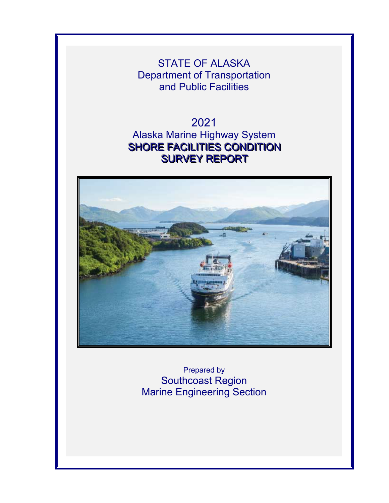STATE OF ALASKA Department of Transportation and Public Facilities

# 2021 Alaska Marine Highway System SHORE FACILITIES CONDITION SURVEY REPORT



Prepared by Southcoast Region Marine Engineering Section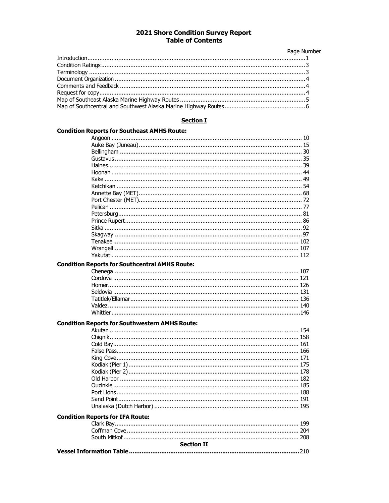# 2021 Shore Condition Survey Report<br>Table of Contents

#### Page Number

# **Section I**

# Condition Reports for Southeast AMHS Route:

|  | <b>Condition Reports for Southcentral AMHS Route:</b> |  |  |  |
|--|-------------------------------------------------------|--|--|--|
|  |                                                       |  |  |  |
|  |                                                       |  |  |  |
|  |                                                       |  |  |  |
|  |                                                       |  |  |  |
|  |                                                       |  |  |  |
|  |                                                       |  |  |  |
|  |                                                       |  |  |  |
|  |                                                       |  |  |  |
|  | <b>Condition Reports for Southwestern AMHS Route:</b> |  |  |  |
|  |                                                       |  |  |  |
|  |                                                       |  |  |  |
|  |                                                       |  |  |  |
|  |                                                       |  |  |  |
|  |                                                       |  |  |  |
|  |                                                       |  |  |  |
|  |                                                       |  |  |  |
|  |                                                       |  |  |  |
|  |                                                       |  |  |  |
|  |                                                       |  |  |  |
|  |                                                       |  |  |  |
|  |                                                       |  |  |  |
|  | <b>Condition Reports for IFA Route:</b>               |  |  |  |
|  |                                                       |  |  |  |
|  |                                                       |  |  |  |
|  | <b>Section II</b>                                     |  |  |  |
|  |                                                       |  |  |  |
|  |                                                       |  |  |  |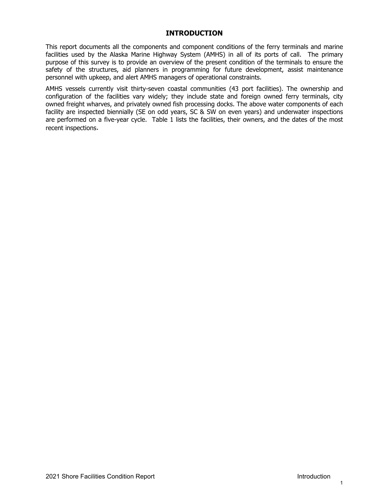# **INTRODUCTION**

This report documents all the components and component conditions of the ferry terminals and marine facilities used by the Alaska Marine Highway System (AMHS) in all of its ports of call. The primary purpose of this survey is to provide an overview of the present condition of the terminals to ensure the safety of the structures, aid planners in programming for future development, assist maintenance personnel with upkeep, and alert AMHS managers of operational constraints.

AMHS vessels currently visit thirty-seven coastal communities (43 port facilities). The ownership and configuration of the facilities vary widely; they include state and foreign owned ferry terminals, city owned freight wharves, and privately owned fish processing docks. The above water components of each facility are inspected biennially (SE on odd years, SC & SW on even years) and underwater inspections are performed on a five-year cycle. Table 1 lists the facilities, their owners, and the dates of the most recent inspections.

1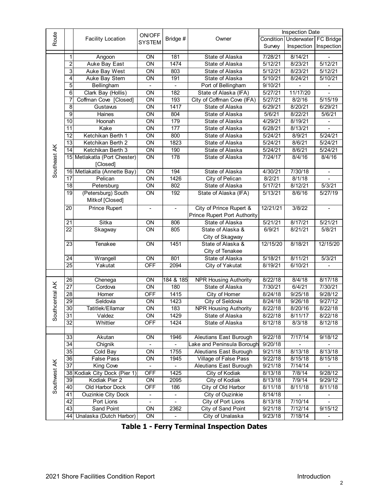|                 |                         |                              |                              |                          |                              | <b>Inspection Date</b> |                                |                          |
|-----------------|-------------------------|------------------------------|------------------------------|--------------------------|------------------------------|------------------------|--------------------------------|--------------------------|
| Route           |                         | <b>Facility Location</b>     | ON/OFF                       | Bridge #                 | Owner                        |                        | Condition Underwater FC Bridge |                          |
|                 |                         |                              | <b>SYSTEM</b>                |                          |                              | Survey                 | Inspection                     | Inspection               |
|                 | 1                       | Angoon                       | $\overline{ON}$              | 181                      | State of Alaska              | 7/28/21                | 8/14/21                        |                          |
|                 | $\overline{\mathbf{c}}$ | <b>Auke Bay East</b>         | ON                           | 1474                     | State of Alaska              | 5/12/21                | 8/23/21                        | 5/12/21                  |
|                 | 3                       | <b>Auke Bay West</b>         | ON                           | 803                      | State of Alaska              | 5/12/21                | 8/23/21                        | 5/12/21                  |
|                 | 4                       | Auke Bay Stern               | ON                           | 191                      | State of Alaska              | 5/10/21                | 8/24/21                        | 5/10/21                  |
|                 | $\overline{5}$          | Bellingham                   | $\overline{\phantom{a}}$     | $\overline{\phantom{a}}$ | Port of Bellingham           | 9/10/21                |                                | $\overline{\phantom{a}}$ |
|                 | $\overline{6}$          | Clark Bay (Hollis)           | ON                           | 182                      | State of Alaska (IFA)        | 5/27/21                | 11/17/20                       |                          |
|                 | 7                       | Coffman Cove [Closed]        | ON                           | 193                      | City of Coffman Cove (IFA)   | 5/27/21                | 8/2/16                         | 5/15/19                  |
|                 | 8                       | Gustavus                     | ON                           | 1417                     | State of Alaska              | 6/29/21                | 8/20/21                        | 6/29/21                  |
|                 | $\overline{9}$          | <b>Haines</b>                | $\overline{ON}$              | 804                      | State of Alaska              | 5/6/21                 | 8/22/21                        | 5/6/21                   |
|                 | 10                      | Hoonah                       | ON                           | $\overline{179}$         | State of Alaska              | 4/29/21                | 8/19/21                        |                          |
|                 | 11                      | Kake                         | ON                           | 177                      | State of Alaska              | 6/28/21                | 8/13/21                        |                          |
|                 | $\overline{12}$         | Ketchikan Berth 1            | ON                           | 800                      | State of Alaska              | 5/24/21                | 8/9/21                         | 5/24/21                  |
|                 | 13                      | Ketchikan Berth 2            | ON                           | 1823                     | State of Alaska              | 5/24/21                | 8/6/21                         | 5/24/21                  |
|                 | 14                      | Ketchikan Berth 3            | $\overline{ON}$              | 190                      | State of Alaska              | 5/24/21                | 8/6/21                         | 5/24/21                  |
|                 |                         | 15 Metlakatla (Port Chester) | $\overline{ON}$              | 178                      | State of Alaska              | 7/24/17                | 8/4/16                         | 8/4/16                   |
|                 |                         | [Closed]                     |                              |                          |                              |                        |                                |                          |
| Southeast AK    |                         | 16 Metlakatla (Annette Bay)  | $\overline{ON}$              | 194                      | <b>State of Alaska</b>       | 4/30/21                | 7/30/18                        | $\blacksquare$           |
|                 | $\overline{17}$         | Pelican                      | ON                           | 1426                     | <b>City of Pelican</b>       | 8/2/21                 | 8/1/18                         | $\blacksquare$           |
|                 | 18                      | Petersburg                   | $\overline{ON}$              | 802                      | State of Alaska              | 5/17/21                | 8/12/21                        | 5/3/21                   |
|                 | 19                      | (Petersburg) South           | ON                           | 192                      | State of Alaska (IFA)        | 5/13/21                | 8/6/16                         | 5/27/19                  |
|                 |                         | Mitkof [Closed]              |                              |                          |                              |                        |                                |                          |
|                 | 20                      | <b>Prince Rupert</b>         | $\blacksquare$               |                          | City of Prince Rupert &      | 12/21/21               | 3/8/22                         | $\overline{\phantom{a}}$ |
|                 |                         |                              |                              |                          | Prince Rupert Port Authority |                        |                                |                          |
|                 | $\overline{21}$         | Sitka                        | ON                           | 806                      | State of Alaska              | 5/21/21                | 8/17/21                        | 5/21/21                  |
|                 | 22                      | Skagway                      | ON                           | 805                      | State of Alaska &            | 6/9/21                 | 8/21/21                        | 5/8/21                   |
|                 |                         |                              |                              |                          | City of Skagway              |                        |                                |                          |
|                 | 23                      | Tenakee                      | ON                           | 1451                     | State of Alaska &            | 12/15/20               | 8/18/21                        | 12/15/20                 |
|                 |                         |                              |                              |                          | City of Tenakee              |                        |                                |                          |
|                 | $\overline{24}$         | Wrangell                     | ON                           | 801                      | State of Alaska              | 5/18/21                | 8/11/21                        | 5/3/21                   |
|                 | 25                      | Yakutat                      | <b>OFF</b>                   | 2094                     | City of Yakutat              | 8/19/21                | 6/10/21                        | ÷,                       |
|                 |                         |                              |                              |                          |                              |                        |                                |                          |
|                 | 26                      | Chenega                      | ON                           | 184 & 185                | <b>NPR Housing Authority</b> | 8/22/18                | 8/4/18                         | 8/17/18                  |
|                 | $\overline{27}$         | Cordova                      | ON                           | 180                      | State of Alaska              | 7/30/21                | 6/4/21                         | 7/30/21                  |
|                 | $\overline{28}$         | Homer                        | <b>OFF</b>                   | 1415                     | City of Homer                | 8/24/18                | 9/25/18                        | 9/28/12                  |
|                 | 29                      | Seldovia                     | ON                           | 1423                     | City of Seldovia             | 8/24/18                | 9/26/18                        | 9/27/12                  |
| Southcentral AK | 30                      | Tatitlek/Ellamar             | $\overline{ON}$              | 183                      | <b>NPR Housing Authority</b> | 8/22/18                | 8/20/16                        | 8/22/18                  |
|                 | 31                      | Valdez                       | ON                           | 1429                     | State of Alaska              | 8/22/18                | 8/11/17                        | 8/22/18                  |
|                 | $\overline{32}$         | Whittier                     | <b>OFF</b>                   | 1424                     | State of Alaska              | 8/12/18                | 8/3/18                         | 8/12/18                  |
|                 |                         |                              |                              |                          |                              |                        |                                |                          |
|                 | 33                      | Akutan                       | ON                           | 1946                     | Aleutians East Burough       | 9/22/18                | 7/17/14                        | 9/18/12                  |
|                 | $\overline{34}$         | Chignik                      |                              |                          | Lake and Peninsula Borough   | 9/20/18                |                                |                          |
|                 | 35                      | Cold Bay                     | ON                           | 1755                     | Aleutians East Burough       | 9/21/18                | 8/13/18                        | 8/13/18                  |
| Southwest AK    | $\overline{36}$         | <b>False Pass</b>            | ON                           | 1945                     | Village of False Pass        | 9/22/18                | 8/15/18                        | 8/15/18                  |
|                 | $\overline{37}$         | <b>King Cove</b>             | $\overline{\phantom{a}}$     |                          | Aleutians East Burough       | 9/21/18                | 7/14/14                        |                          |
|                 |                         | 38 Kodiak City Dock (Pier 1) | <b>OFF</b>                   | 1425                     | City of Kodiak               | 8/13/18                | 7/8/14                         | 9/28/12                  |
|                 | 39                      | Kodiak Pier 2                | ON                           | 2095                     | City of Kodiak               | 8/13/18                | 7/9/14                         | 9/29/12                  |
|                 | 40                      | Old Harbor Dock              | <b>OFF</b>                   | 186                      | City of Old Harbor           | 8/11/18                | 8/11/18                        | 8/11/18                  |
|                 | 41                      | <b>Ouzinkie City Dock</b>    | -                            |                          | City of Ouzinkie             | 8/14/18                |                                |                          |
|                 | 42                      | Port Lions                   | $\qquad \qquad \blacksquare$ |                          | City of Port Lions           | 8/13/18                | 7/10/14                        |                          |
|                 | 43                      | <b>Sand Point</b>            | ON                           | 2362                     | City of Sand Point           | 9/21/18                | 7/12/14                        | 9/15/12                  |
|                 |                         | 44 Unalaska (Dutch Harbor)   | ON                           |                          | City of Unalaska             | 9/23/18                | 7/18/14                        |                          |

**Table 1 - Ferry Terminal Inspection Dates**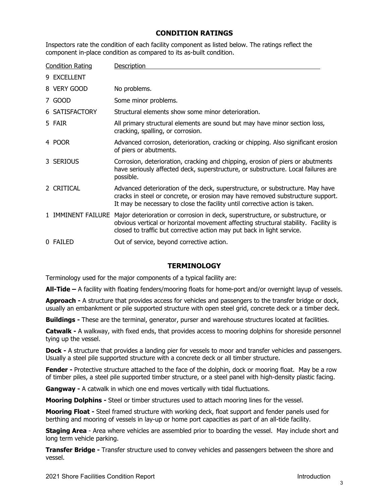# **CONDITION RATINGS**

Inspectors rate the condition of each facility component as listed below. The ratings reflect the component in-place condition as compared to its as-built condition.

| <b>Condition Rating</b> |                    | Description                                                                                                                                                                                                                                    |
|-------------------------|--------------------|------------------------------------------------------------------------------------------------------------------------------------------------------------------------------------------------------------------------------------------------|
|                         | 9 EXCELLENT        |                                                                                                                                                                                                                                                |
|                         | 8 VERY GOOD        | No problems.                                                                                                                                                                                                                                   |
|                         | 7 GOOD             | Some minor problems.                                                                                                                                                                                                                           |
|                         | 6 SATISFACTORY     | Structural elements show some minor deterioration.                                                                                                                                                                                             |
|                         | 5 FAIR             | All primary structural elements are sound but may have minor section loss,<br>cracking, spalling, or corrosion.                                                                                                                                |
|                         | 4 POOR             | Advanced corrosion, deterioration, cracking or chipping. Also significant erosion<br>of piers or abutments.                                                                                                                                    |
|                         | 3 SERIOUS          | Corrosion, deterioration, cracking and chipping, erosion of piers or abutments<br>have seriously affected deck, superstructure, or substructure. Local failures are<br>possible.                                                               |
|                         | 2 CRITICAL         | Advanced deterioration of the deck, superstructure, or substructure. May have<br>cracks in steel or concrete, or erosion may have removed substructure support.<br>It may be necessary to close the facility until corrective action is taken. |
|                         | 1 IMMINENT FAILURE | Major deterioration or corrosion in deck, superstructure, or substructure, or<br>obvious vertical or horizontal movement affecting structural stability. Facility is<br>closed to traffic but corrective action may put back in light service. |
|                         | 0 FAILED           | Out of service, beyond corrective action.                                                                                                                                                                                                      |

# **TERMINOLOGY**

Terminology used for the major components of a typical facility are:

**All-Tide –** A facility with floating fenders/mooring floats for home-port and/or overnight layup of vessels.

**Approach -** A structure that provides access for vehicles and passengers to the transfer bridge or dock, usually an embankment or pile supported structure with open steel grid, concrete deck or a timber deck.

**Buildings -** These are the terminal, generator, purser and warehouse structures located at facilities.

**Catwalk -** A walkway, with fixed ends, that provides access to mooring dolphins for shoreside personnel tying up the vessel.

**Dock -** A structure that provides a landing pier for vessels to moor and transfer vehicles and passengers. Usually a steel pile supported structure with a concrete deck or all timber structure.

**Fender -** Protective structure attached to the face of the dolphin, dock or mooring float. May be a row of timber piles, a steel pile supported timber structure, or a steel panel with high-density plastic facing.

**Gangway -** A catwalk in which one end moves vertically with tidal fluctuations.

**Mooring Dolphins -** Steel or timber structures used to attach mooring lines for the vessel.

**Mooring Float -** Steel framed structure with working deck, float support and fender panels used for berthing and mooring of vessels in lay-up or home port capacities as part of an all-tide facility.

**Staging Area** - Area where vehicles are assembled prior to boarding the vessel. May include short and long term vehicle parking.

**Transfer Bridge -** Transfer structure used to convey vehicles and passengers between the shore and vessel.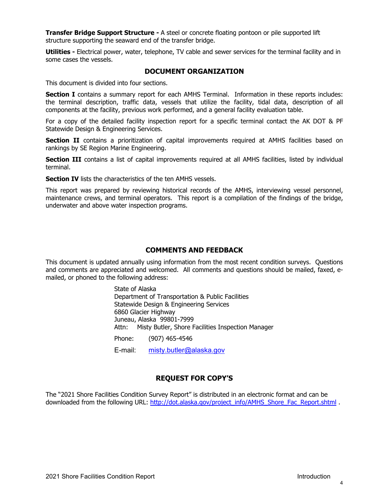**Transfer Bridge Support Structure -** A steel or concrete floating pontoon or pile supported lift structure supporting the seaward end of the transfer bridge.

**Utilities -** Electrical power, water, telephone, TV cable and sewer services for the terminal facility and in some cases the vessels.

# **DOCUMENT ORGANIZATION**

This document is divided into four sections.

**Section I** contains a summary report for each AMHS Terminal. Information in these reports includes: the terminal description, traffic data, vessels that utilize the facility, tidal data, description of all components at the facility, previous work performed, and a general facility evaluation table.

For a copy of the detailed facility inspection report for a specific terminal contact the AK DOT & PF Statewide Design & Engineering Services.

**Section II** contains a prioritization of capital improvements required at AMHS facilities based on rankings by SE Region Marine Engineering.

**Section III** contains a list of capital improvements required at all AMHS facilities, listed by individual terminal.

**Section IV** lists the characteristics of the ten AMHS vessels.

This report was prepared by reviewing historical records of the AMHS, interviewing vessel personnel, maintenance crews, and terminal operators. This report is a compilation of the findings of the bridge, underwater and above water inspection programs.

#### **COMMENTS AND FEEDBACK**

This document is updated annually using information from the most recent condition surveys. Questions and comments are appreciated and welcomed. All comments and questions should be mailed, faxed, emailed, or phoned to the following address:

> State of Alaska Department of Transportation & Public Facilities Statewide Design & Engineering Services 6860 Glacier Highway Juneau, Alaska 99801-7999 Attn: Misty Butler, Shore Facilities Inspection Manager Phone: (907) 465-4546 E-mail: misty.butler@alaska.gov

## **REQUEST FOR COPY'S**

The "2021 Shore Facilities Condition Survey Report" is distributed in an electronic format and can be downloaded from the following URL: http://dot.alaska.gov/project\_info/AMHS\_Shore\_Fac\_Report.shtml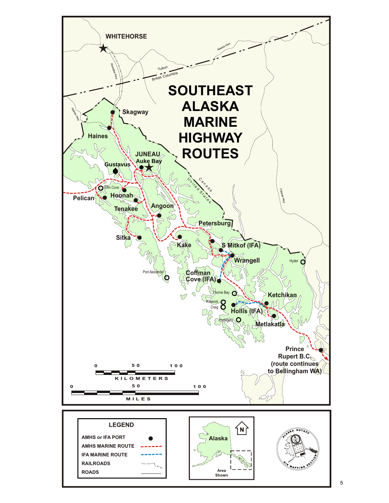